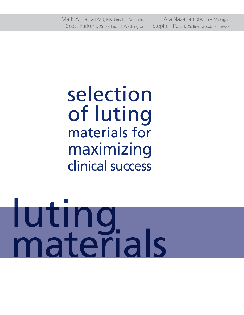Mark A. Latta DMD, MS, Omaha, Nebraska Ara Nazarian DDS, Troy, Michigan Scott Parker DDS, Redmond, Washington Stephen Poss DDS, Brentwood, Tennessee

selection of luting materials for maximizing clinical success

# luting materials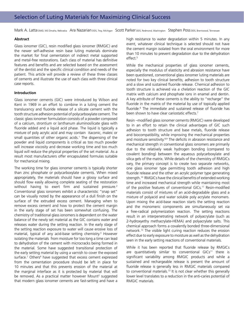Mark A. Latta DMD, MS Omaha, Nebraska Ara Nazarian DDS, Troy, Michigan Scott Parker DDS, Redmond, Washington Stephen Poss DDS, Brentwood, Tennessee

## **Abstract**

Glass ionomer (GIC), resin modified glass ionomer (RMGIC) and the newer self-adhesive resin base luting materials dominate the market for final cementation of indirect metal supported and metal-free restorations. Each class of material has definitive features and benefits and are selected based on the assessment of the dentist and the specific clinical condition and needs of the patient. This article will provide a review of these three classes of cements and illustrate the use of each class with three clinical case reports.

### **Introduction**

Glass ionomer cements (GIC) were introduced by Wilson and Kent in 1969 in an effort to combine in a luting cement the translucency and fluoride release of a silicate cement with the tooth structure adhesion potential of polycarboxylate cement. The classic glass ionomer formulation consists of a powder composed of a calcium, strontium or lanthanum aluminosilicate glass with fluoride added and a liquid acid phase. The liquid is typically a mixture of poly acrylic acid and may contain itaconic, maleic or small quantities of other organic acids.<sup>1</sup> The dispensing of the powder and liquid components is critical as too much powder will increase viscosity and decrease working time and too much liquid will reduce the physical properties of the set material. As a result most manufacturers offer encapsulated formulas suitable for mechanical mixing.

The working time for glass ionomer cements is typically shorter than zinc phosphate or polycarboxylate cements. When mixed appropriately, the materials should have a glossy surface and should flow easily allowing complete seating of the restoration without having to exert firm and sustained pressure.<sup>2</sup> Conventional glass ionomers exhibit a characteristic "snap set" can be visually noted by the appearance of a dull finish on the surface of the extruded excess cement. Managing when to remove excess cement and how to protect the cement margin in the early stage of set has been somewhat confusing. The chemistry of traditional glass ionomers is dependent on the water balance of the newly set material as the GIC contains water and releases water during the setting reaction. In the early stage of the setting reaction exposure to water will cause erosive loss of material, typical of any acid-base setting chemistry.<sup>3</sup> However isolating the materials from moisture for too long a time can lead to dehydration of the cement with microcracks being formed in the material. Some have suggested transitional protection of the early setting material by using a varnish to cover the exposed surface.<sup>1</sup> Others<sup>4</sup> have suggested that excess cement expressed from the cementation procedure should be left in place for 10 minutes and that this prevents erosion of the material at the marginal interface as it is protected by material that will be removed. As a practical matter however Mount<sup>2</sup> suggested that modern glass ionomer cements are fast-setting and have a high resistance to water degradation within 5 minutes. In any event, whatever clinical technique is selected should not have the cement margin isolated from the oral environment for more than 10 minutes to prevent degradation due to the dehydration effect.<sup>5</sup>

While the mechanical properties of glass ionomer cements, especially the modulus of elasticity and abrasion resistance have been questioned, conventional glass ionomer luting materials are noted for two key clinical benefits; adhesion to tooth structure and a slow and sustained fluoride release. Chemical adhesion to tooth structure is achieved via a chelation reaction of the GIC matrix with calcium and phosphate ions in enamel and dentin. A key attribute of these cements is the ability to "recharge" the fluoride in the matrix of the material by use of topically applied fluoride.<sup>6</sup> The immediate and sustained release of fluoride has been shown to have clear cariostatic effects.<sup>7</sup>

Resin –modified glass ionomer cements (RMGIC) were developed to in an effort to retain the clinical advantages of GIC such adhesion to tooth structure and base metals, fluoride release and biocompatibility, while improving the mechanical properties and moisture sensitivity.<sup>8,9</sup> The deficits in abrasion resistance and mechanical strength in conventional glass ionomers are primarily due to the relatively weak hydrogen bonding (compared to covalent bonding) between the aqueous polycarboxylate and silica gels of the matrix. While details of the chemistry of RMGICs vary, the primary concept is to create two separate networks, one glass ionomer type permitting tooth adhesion and high fluoride release and the other an acrylic polymer type generating strength.<sup>10</sup> RMGICs have the clinical benefits of extended working time and increased mechanical strength while maintaining most of the positive features of conventional GICs.<sup>11</sup> Resin-modified materials consist of mixtures of an acid-degradable glass and a mixture of polyacid and water soluble poly acrylate monomers. Upon mixing the acid-base reaction starts the setting reaction and the monomeric components are simultaneously set via a free-radical polymerization reaction. The setting reactions result in an interpenetrating network of polyacrylate (such as 2-hydroxyethy methacrylate-HEMA) and polyacrylate salts. This chemical approach forms a covalently bonded three-dimensional network.12 The visible light curing reaction reduces the erosion effect due to early exposure to moisture as well as the dehydration seen in the early setting reactions of conventional materials.

While it has been reported that fluoride release by RMGICs are quantitatively similar to conventional  $GICs<sup>11</sup>$  there is significant variability among RMGIC products and while a sustained and rechargeable release is present the amount of fluoride release is generally less in RMGIC materials compared to conventional materials.<sup>13</sup> It is not clear whether this generally lower level translates to a reduction in the anti-caries potential of RMGIC materials.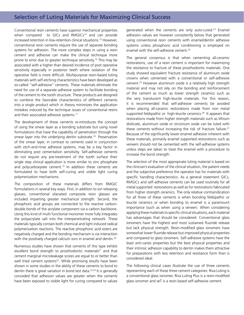Conventional resin cements have superior mechanical properties when compared to GICs and RMGICs<sup>14</sup> and can provide increased retention in low-retention clinical situations.15 However, conventional resin cements require the use of separate bonding systems for adhesion. The more complex steps in using a resin cement and adhesive can make the clinical technique more prone to error due to greater technique sensitivity.16 This may be associated with a higher than desired incidence of post operative sensitivity especially in posterior teeth where isolation of the operative field is more difficult. Multipurpose resin-based luting materials with self-etching characteristics have been developed as so-called "self-adhesive" cements. These materials eliminate the need for use of a separate adhesive system to facilitate bonding of the cement to the tooth structure. These products are designed to combine the favorable characteristics of different cements into a single product which in theory minimizes the application mistakes induced by the technique issues of conventional resins and their associated adhesive systems.<sup>17</sup>

The development of these cements re-introduces the concept of using the smear layer as a bonding substrate but using novel formulations that have the capability of penetration through the smear layer into the underlying dentin substrate.<sup>18</sup> Preservation of the smear layer, in contrast to cements used in conjunction with etch-and-rinse adhesive systems, may be a key factor in eliminating post cementation sensitivity. Self-adhesive cements do not require any pre-treatment of the tooth surface their single step clinical application is more similar to zinc phosphate and polycarboxylate cement.<sup>19</sup> In addition these cements are formulated to have both self-curing and visible light curing polymerization mechanisms.

The composition of these materials differs from RMGIC formulations in several key ways. First, in addition to ion releasing glasses, conventional silanated composite resin glasses are included imparting greater mechanical strength. Second, the phosphoric acid groups are connected to the reactive carbondouble bonds of the acrylate component via a carbon backbone. Using this kind of multi functional monomer more fully integrates the polyacrylate salt into the interpenetrating network. These materials typically contain both chemical and light induced radical polymerization reactions. The reactive phosphoric acid esters are negatively charged and the bonding mechanism is via interaction with the positively charged calcium ions in enamel and dentin.<sup>20</sup>

Numerous studies have shown that cements of this type exhibit excellent bond strength to prosthodontic materials<sup>21</sup> and that cement marginal microleakage scores are equal to or better than well tried cement systems<sup>22</sup>. While promising results have been shown in some studies in the ability of these cements to bond to dentin there is great variation in bond test data.23,24 It is generally conceded that adhesion values are greater when the cements have been exposed to visible light for curing compared to values

generated when the cements are only auto-cured.23 Enamel adhesion values are however consistently below that generated using conventional resin cements with enamel/dentin adhesive systems unless phosphoric acid conditioning is employed on enamel with the self-adhesive cement.<sup>24</sup>

The general consensus is that when cementing all-ceramic restorations, use of a resin cement is important for maximizing the resistance to fracture of these prosthodontic materials. One study showed equivalent fracture resistance of aluminum oxide crowns when cemented with a conventional or self-adhesive cement.25 However aluminum oxide is a relatively high strength material and may not rely on the bonding and reinforcement of the cement as much as lower strength ceramics such as the very translucent high-leucite materials. For this reason, it is recommended that self-adhesive cements be avoided when placing all-ceramic restorations made from non metal supported feldspathic or high-leucite ceramics.<sup>26</sup> It appears that restorations made from higher strength materials such as lithium disilicate, aluminum oxide or zirconium oxide can be luted with these cements without increasing the risk of fracture failure.<sup>27</sup> Because of the significantly lower enamel adhesion inherent with these materials, primarily enamel supported restorations such as veneers should not be cemented with the self-adhesive systems unless steps are taken to treat the enamel with a procedure to increase the bond strength.

The selection of the most appropriate luting material is based on the clinician's evaluation of the clinical situation, the patient needs and the subjective preference the operator has for materials with specific handling characteristics. As a general statement GICs, RMGICs and self-adhesive cements can be used routinely for all metal supported restorations as well as for restorations fabricated from higher strength ceramics. The only relative contraindication for all three of these cements is when bonding feldspathic or leucite ceramics or when bonding to enamel is a paramount importance (such as when using a veneer). When considering applying these materials to specific clinical situations, each material has advantages that should be considered. Conventional glass ionomers have the highest and most sustained fluoride release but lack physical strength. Resin-modified glass ionomers have somewhat lower fluoride release but improved physical properties and compared to glass ionomers. Self-adhesive systems have the least anti-caries properties but the best physical properties and their intrinsic adhesion capability to dentin makes them attractive for preparations with less retention and resistance form than is considered ideal.

The following clinical cases illustrate the use of three cements representing each of these three cement categories. Riva Luting is a conventional glass ionomer, Riva Luting Plus is a resin-modified glass ionomer and seT is a resin based self-adhesive cement.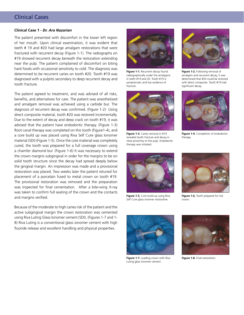# Clinical Cases

### **Clinical Case 1 -** *Dr. Ara Nazarian*

The patient presented with discomfort in the lower left region of her mouth. Upon clinical examination, it was evident that teeth # 19 and #20 had large amalgam restorations that were fractured with recurrent decay (Figure 1-1). The radiographs on #19 showed recurrent decay beneath the restoration extending near the pulp. The patient complained of discomfort on biting hard foods with occasional sensitivity to cold. The diagnosis was determined to be recurrent caries on tooth #20. Tooth #19 was diagnosed with a pulpitis secondary to deep recurrent decay and tooth fracture.

The patient agreed to treatment, and was advised of all risks, benefits, and alternatives for care. The patient was anesthetized and amalgam removal was achieved using a carbide bur. The diagnosis of recurrent decay was confirmed. (Figure 1-2) Using direct composite material, tooth #20 was restored incrementally. Due to the extent of decay and deep crack on tooth #19, it was advised that the patient have endodontic therapy. (Figure 1-3) Root canal therapy was completed on this tooth (Figure1-4), and a core build up was placed using Riva Self Cure glass Ionomer material (SDI) (Figure 1-5). Once the core material was completely cured, the tooth was prepared for a full coverage crown using a chamfer diamond bur. (Figure 1-6) It was necessary to extend the crown margins subgingival in order for the margins to be on solid tooth structure since the decay had spread deeply below the gingival margin. An impression was made and a provisional restoration was placed. Two weeks later the patient retuned for placement of a porcelain fused to metal crown on tooth #19. The provisional restoration was removed and the preparation was inspected for final cementation. After a bite-wing X-ray was taken to confirm full seating of the crown and the contacts and margins verified.

Because of the moderate to high caries risk of the patient and the active subgingival margin the crown restoration was cemented using Riva Luting Glass Ionomer cement (SDI). (Figures 1-7 and 1- 8) Riva Luting is a conventional glass ionomer cement with high fluoride release and excellent handling and physical properties.



**Figure 1-1.** Recurrent decay found radiographically under the amalgams in teeth #19 and 20. Tooth #19 is symptomatic and has evidence of fracture.



**Figure 1-3.** Caries removal in #19 revealed tooth fracture and decay in close proximity to the pulp. Endodontic therapy was initiated.



**Figure 1-5.** Core build-up using Riva Self Cure glass ionomer restorative.



**Figure 1-2.** Following removal of amalgam and recurrent decay, it was determined that #20 could be restored with direct composite. Tooth #19 had significant decay.



**Figure 1-4.** Completion of endodontic therapy.



**Figure 1-6.** Tooth prepared for full crown.



**Figure 1-7.** Loading crown with Riva Luting glass ionomer cement.



**Figure 1-8.** Final restoration.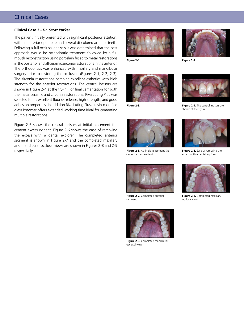# Clinical Cases

## **Clinical Case 2 -** *Dr. Scott Parker*

The patient initially presented with significant posterior attrition, with an anterior open bite and several discolored anterior teeth. Following a full occlusal analysis it was determined that the best approach would be orthodontic treatment followed by a full mouth reconstruction using porcelain fused to metal restorations in the posterior and all ceramic zirconia restorations in the anterior. The orthodontics was enhanced with maxillary and mandibular surgery prior to restoring the occlusion (Figures 2-1, 2-2, 2-3). The zirconia restorations combine excellent esthetics with high strength for the anterior restorations. The central incisors are shown in Figure 2-4 at the try-in. For final cementation for both the metal ceramic and zirconia restorations, Riva Luting Plus was selected for its excellent fluoride release, high strength, and good adhesion properties. In addition Riva Luting Plus a resin-modified glass ionomer offers extended working time ideal for cementing multiple restorations.

Figure 2-5 shows the central incisors at initial placement the cement excess evident. Figure 2-6 shows the ease of removing the excess with a dental explorer. The completed anterior segment is shown in Figure 2-7 and the completed maxillary and mandibular occlusal views are shown in Figures 2-8 and 2-9 respectively.





**Figure 2-1. Figure 2-2.**





**Figure 2-5.** At initial placement the cement excess evident.



**Figure 2-7.** Completed anterior segment.



**Figure 2-9.** Completed mandibular occlusal view.



**Figure 2-3. Figure 2-4.** The central incisors are shown at the try-in.



**Figure 2-6.** Ease of removing the excess with a dental explorer.



**Figure 2-8.** Completed maxillary occlusal view.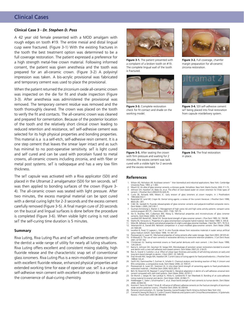# Clinical Cases

## **Clinical Case 3 -** *Dr. Stephen D. Poss*

A 42 year old female presented with a MOD amalgam with rough edges on tooth #19. The entire mesial and distal lingual cusp were fractured. (Figure 3-1) With the existing fractures in the tooth the best treatment option was determined to be a full coverage restoration. The patient expressed a preference for a high strength metal-free crown material. Following informed consent, the patient was given anesthesia and the tooth was prepared for an all-ceramic crown. (Figure 3-2) A polyvinyl impression was taken. A bis-acrylic provisional was fabricated and temporary cement was used to place the provisional.

When the patient returned the zirconium oxide all-ceramic crown was inspected on the die for fit and shade inspection (Figure 3-3). After anesthesia was administered the provisional was removed. The temporary cement residue was removed and the tooth thoroughly cleaned. The crown was placed on the tooth to verify the fit and contacts. The all-ceramic crown was cleaned and prepared for cementation. Because of the posterior location of the tooth and the relatively short clinical crown leading to reduced retention and resistance, seT self-adhesive cement was selected for its high physical properties and bonding properties. This material is a is a self-etch, self-adhesive resin cement. It is a one step cement that leaves the smear layer intact and as such has minimal to no post-operative sensitivity. seT is light cured and self cured and can be used with porcelain fused to metal crowns, all-ceramic crowns including zirconia, and with fiber or metal post systems. seT is radiopaque and has a very low film thickness.

The seT capsule was activated with a Riva applicator (SDI) and placed in the Ultramat 2 amalgamator (SDI) for ten seconds. seT was then applied to bonding surfaces of the crown (Figure 3- 4). The all-ceramic crown was seated with light pressure. After two minutes, the excess marginal material can be spot cured with a dental curing light for 2-3 seconds and the excess cement carefully removed (Figure 3-5). A final margin cure of 20 seconds on the buccal and lingual surfaces is done before the procedure is completed (Figure 3-6). When visible light curing is not used seT the self-curing time duration is 5 minutes.

### **Summary**

Riva Luting, Riva Luting Plus and seT self-adhesive cements offer the dentist a wide range of utility for nearly all luting situations. Riva Luting offers excellent and consistent mixing stability, high fluoride release and the characteristic snap set of conventional glass ionomers. Riva Luting Plus is a resin-modified glass ionomer with excellent fluoride release, enhanced physical properties and extended working time for ease of operator use. seT is a unique self-adhesive resin cement with excellent adhesion to dentin and the convenience of dual-curing chemistry.



**Figure 3-1.** The patient presented with a complaint of a broken tooth on #19. The complete lingual wall of the tooth is fractured.



**Figure 3-3.** Complete restoration check for fit contact and shade on the working model.



**Figure 3-5.** After seating the crown with firm pressure and waiting for 2 minutes, the excess cement was tack cured with a visible light for 2 seconds and the excess removed.



**Figure 3-2.** Full coverage, chamfer margin preparation for all-ceramic zirconia restoration.



**Figure 3-4.** SDI self-adhesive cement seT being placed into final restoration from capsule mix/delivery system.



**Figure 3-6.** The final restoration in place.

### **References**

- 1. Wilson AD, Nicholson JW. Acid-base cement-``` their biomedical and industrial applications. New York: Cambridge University Press; 1993. p 1-383.
- 2. Mount GJ. An atlas of glass ionomer cements, a clinicians guide. 3rd edition. New York: Martin Duntiz; 2002. P 1-73.
- 3. Johnson GH, Hazelton LR, Bales DJ, et.al. The effect of resin-based sealer on crown retention for three types of<br>- cement. J Prosthet Dent 2004;91(5):428-35.<br>4. Curtis SR, Richards MW, Meiers JC. Early erosion of glass 1993;6(6):553-7.
- 5. Rosenstiel SF, Land MF, Crispin BJ. Dental luting agents: a review of the current literature. J Prosthet Dent 1998; 80(3):28—301.
- 6. Cildir SK, Sandalli N. Fluoride release/uptake of glass ionomer cements and polyacid-modified composite resins.
- Dent Mater J 2005; 24(1):92-7. 7. Guzman-Armstrong S, Warren JJ. Management of high caries risk and high caries activity patients: rampant caries control program (RCCP). J Dent Educ 2007; 71(6): 767-75.
- 8. Xie D, Branltey WA, Culbertson BM, Wang G. Mechanical properties and microstructures of glass ionomer
- cements. Dent Mater 2000; 16:129-38.<br>9. Lacefield WP, Reindl MC, Retief DH. Tensile bond strength of glass ionomer cement. J Pros Dent 1985; 53: 194-98.<br>10. Mathis RS, Ferracane JL. Properties of a glass-ionomer/resin-
- 
- 11. Mitra SB. Adhesion to dentin and physical properties of a light-cured glass-ionomer liner/base. J Dent Res 1971; 70:72-4.<br>12. Yelamanchili A, Darvell BW. Network competition in a resin-modfied glass-ionomer cement. Den relation.com<br>24:1065-69.
- 13. Levallois B, Fovet Y,l Lapeyre L, Gal JY. In vitro fluoride release from restorative materials in water versus artificial
- saliva medium (SAGF). Dent Mater 1998; 14: 441-47.<br>14. Piwowarczyk A, Lauer HC. Mechanical properties of luting cements after water storage. Oper Dent 2003; 28:535-42.<br>15. El-Mowafy O. The use of resin cements in restorati 2001; 67:97-102.
- 16. Christensen GJ. Seating nonmetal crowns or fixed partial dentures with resin cement. J Am Dent Assoc 1998;
- 129:239-41. 17. Ibarra G, Johnson GH, Geurtson W, Vargas MA. Microleakage of porcelain veneer restorations bonded to enamel
- and dentin with a new self-adhesive resin-based cement. Dent Mater 2007;23: 218-25.<br>18. Reis A, Grandi V, Carlotto I, et.al. Effect of smear layer thickness and acidity of self-etching solutions on early and<br>long term bond
- 19. Diaz-Arnold AM, Vargas MA, Haselton DR. Current status of luting agents for fixed prosthodontics. J Prosthet Dent 1999;8:135-41.
- 20. Gerth HU, Dammaschke T, Zuchner H, Schafer E. Chemical analysis and bonding reaction of Rely X Unicem and Bifix composites: a comparative study. Dent Mater 2006; 22: 934-41.
- 21. Piwowarczyk A, Lauer HC, Sorenson JA. In vitro shear bond strength of cementing agents to fixed prosthodontic
- restorative materials. J Prosthet Dent 2004; 92(3):265-73.<br>22. Behr M, Rosentritt M, Regneet T, Lang R Handel G. Marginal adaptation in dentin of a self-adhesive universal resin<br>cement compared with well-tried systems. Den
- 23. De Munck J, Vargas M, Van Landuyt K, Hikita K, Lambrechts P, Van Meerbeek B. Bonding of an auto-adhesive<br>Iuting material to enamel and dentin. Dent Mater 2004; 20:963-71.<br>Holderegger C, Sailer I, Schuhmacher C. et.al
- 2008; 24:944-50. 25. Komine F, Tomic M Gerds T Strub JR. Influence of different adhesive cements on the fracture strengths of aluminum
- 
- oxide ceramic posterior crowns. J Prosthet Dent 2004; 92:359-64.<br>26. Personal communication, Dr. George Tysowsky, Ivoclar/Vivadent North America Amherst New York USA.<br>27. Conrad HJ,Seong WJ,Pesun IJ. Current Ceramic Ma Review. J Prosth Dent 2007;98-389-404.